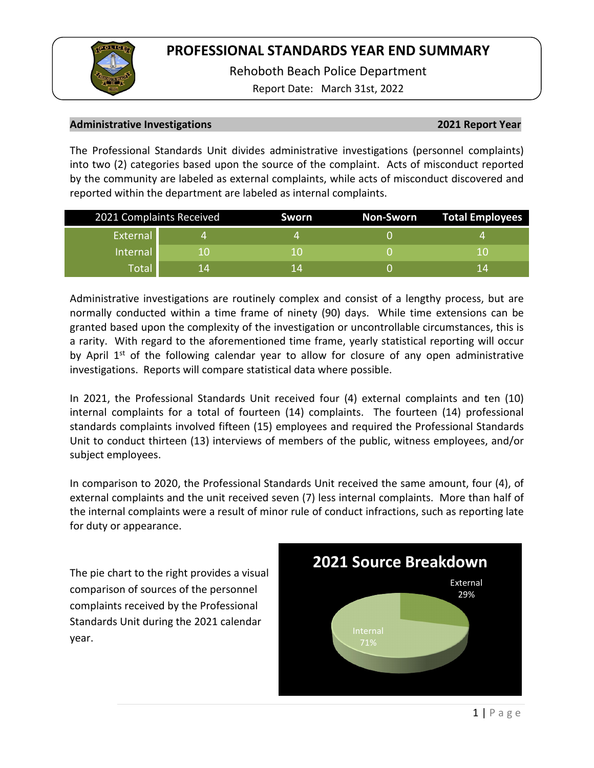

Rehoboth Beach Police Department

Report Date: March 31st, 2022

### **Administrative Investigations 2021 Report Year**

The Professional Standards Unit divides administrative investigations (personnel complaints) into two (2) categories based upon the source of the complaint. Acts of misconduct reported by the community are labeled as external complaints, while acts of misconduct discovered and reported within the department are labeled as internal complaints.

|          | 2021 Complaints Received | <b>Sworn</b> | Non-Sworn | Total Employees |
|----------|--------------------------|--------------|-----------|-----------------|
| External |                          |              |           |                 |
| Internal | н.                       |              |           |                 |
| Total    | 14                       | 14           |           | 1 Z             |

Administrative investigations are routinely complex and consist of a lengthy process, but are normally conducted within a time frame of ninety (90) days. While time extensions can be granted based upon the complexity of the investigation or uncontrollable circumstances, this is a rarity. With regard to the aforementioned time frame, yearly statistical reporting will occur by April  $1<sup>st</sup>$  of the following calendar year to allow for closure of any open administrative investigations. Reports will compare statistical data where possible.

In 2021, the Professional Standards Unit received four (4) external complaints and ten (10) internal complaints for a total of fourteen (14) complaints. The fourteen (14) professional standards complaints involved fifteen (15) employees and required the Professional Standards Unit to conduct thirteen (13) interviews of members of the public, witness employees, and/or subject employees.

In comparison to 2020, the Professional Standards Unit received the same amount, four (4), of external complaints and the unit received seven (7) less internal complaints. More than half of the internal complaints were a result of minor rule of conduct infractions, such as reporting late for duty or appearance.

The pie chart to the right provides a visual comparison of sources of the personnel complaints received by the Professional Standards Unit during the 2021 calendar year.

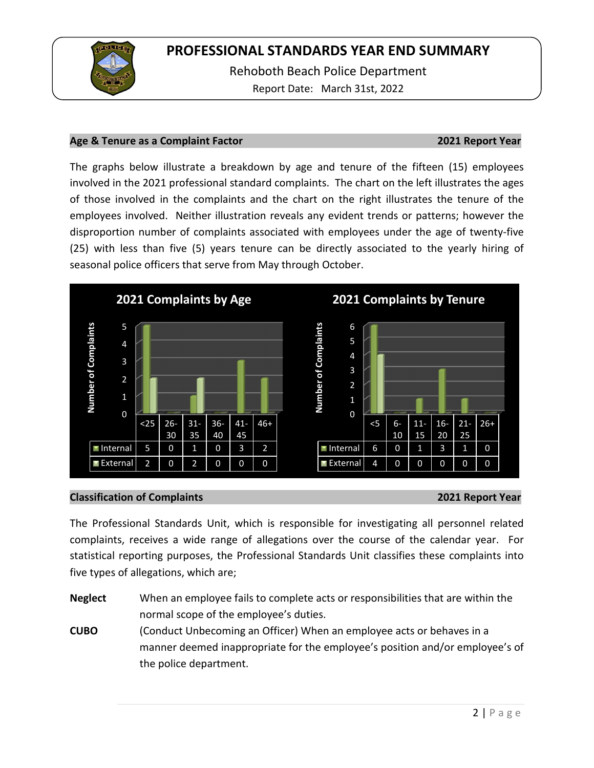

Rehoboth Beach Police Department Report Date: March 31st, 2022

### **Age & Tenure as a Complaint Factor 2021 Report Year**

The graphs below illustrate a breakdown by age and tenure of the fifteen (15) employees involved in the 2021 professional standard complaints. The chart on the left illustrates the ages of those involved in the complaints and the chart on the right illustrates the tenure of the employees involved. Neither illustration reveals any evident trends or patterns; however the disproportion number of complaints associated with employees under the age of twenty-five (25) with less than five (5) years tenure can be directly associated to the yearly hiring of seasonal police officers that serve from May through October.



### **Classification of Complaints 2021 Report Year**

The Professional Standards Unit, which is responsible for investigating all personnel related complaints, receives a wide range of allegations over the course of the calendar year. For statistical reporting purposes, the Professional Standards Unit classifies these complaints into five types of allegations, which are;

**Neglect** When an employee fails to complete acts or responsibilities that are within the normal scope of the employee's duties.

**CUBO** (Conduct Unbecoming an Officer) When an employee acts or behaves in a manner deemed inappropriate for the employee's position and/or employee's of the police department.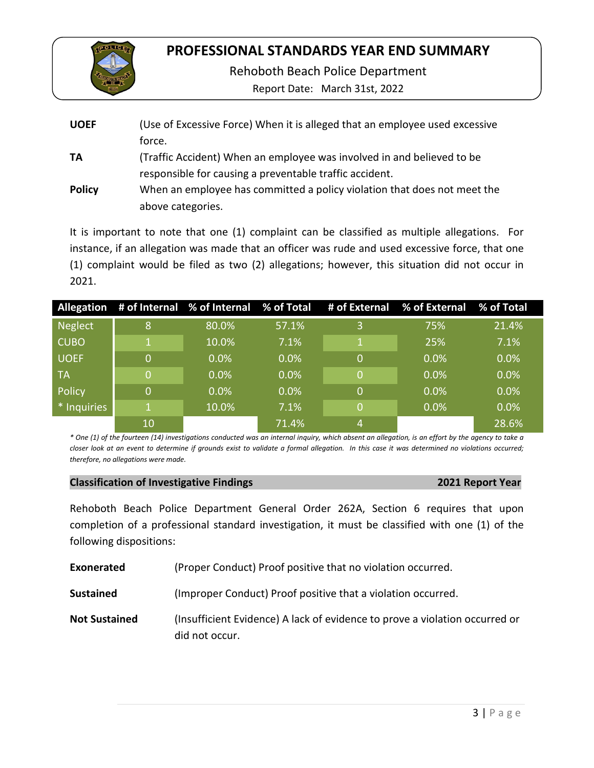

Rehoboth Beach Police Department

Report Date: March 31st, 2022

| <b>UOEF</b>   | (Use of Excessive Force) When it is alleged that an employee used excessive<br>force.                                             |
|---------------|-----------------------------------------------------------------------------------------------------------------------------------|
| TA            | (Traffic Accident) When an employee was involved in and believed to be<br>responsible for causing a preventable traffic accident. |
| <b>Policy</b> | When an employee has committed a policy violation that does not meet the<br>above categories.                                     |

It is important to note that one (1) complaint can be classified as multiple allegations. For instance, if an allegation was made that an officer was rude and used excessive force, that one (1) complaint would be filed as two (2) allegations; however, this situation did not occur in 2021.

|                |    |         |         |    | Allegation # of Internal % of Internal % of Total # of External % of External % of Total |       |
|----------------|----|---------|---------|----|------------------------------------------------------------------------------------------|-------|
| <b>Neglect</b> | 8  | 80.0%   | 57.1%   | 3  | 75%                                                                                      | 21.4% |
| <b>CUBO</b>    |    | 10.0%   | 7.1%    | 1  | 25%                                                                                      | 7.1%  |
| <b>UOEF</b>    | 0  | $0.0\%$ | $0.0\%$ | 'O | $0.0\%$                                                                                  | 0.0%  |
| TA             | 0  | 0.0%    | 0.0%    | 0  | $0.0\%$                                                                                  | 0.0%  |
| Policy         | 0  | 0.0%    | 0.0%    | 0  | 0.0%                                                                                     | 0.0%  |
| * Inquiries    |    | 10.0%   | 7.1%    | 0  | 0.0%                                                                                     | 0.0%  |
|                | 10 |         | 71.4%   | 4  |                                                                                          | 28.6% |

*\* One (1) of the fourteen (14) investigations conducted was an internal inquiry, which absent an allegation, is an effort by the agency to take a closer look at an event to determine if grounds exist to validate a formal allegation. In this case it was determined no violations occurred; therefore, no allegations were made.* 

| <b>Classification of Investigative Findings</b> | 2021 Report Year |
|-------------------------------------------------|------------------|
|                                                 |                  |

Rehoboth Beach Police Department General Order 262A, Section 6 requires that upon completion of a professional standard investigation, it must be classified with one (1) of the following dispositions:

| <b>Exonerated</b> | (Proper Conduct) Proof positive that no violation occurred. |  |
|-------------------|-------------------------------------------------------------|--|
|-------------------|-------------------------------------------------------------|--|

**Sustained** (Improper Conduct) Proof positive that a violation occurred.

**Not Sustained** (Insufficient Evidence) A lack of evidence to prove a violation occurred or did not occur.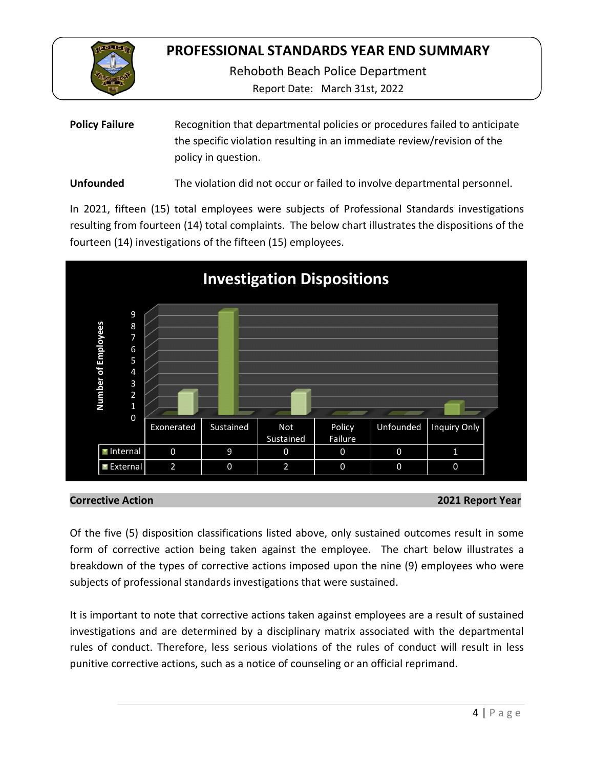

Rehoboth Beach Police Department

Report Date: March 31st, 2022

| <b>Policy Failure</b> | Recognition that departmental policies or procedures failed to anticipate |
|-----------------------|---------------------------------------------------------------------------|
|                       | the specific violation resulting in an immediate review/revision of the   |
|                       | policy in question.                                                       |

**Unfounded** The violation did not occur or failed to involve departmental personnel.

In 2021, fifteen (15) total employees were subjects of Professional Standards investigations resulting from fourteen (14) total complaints. The below chart illustrates the dispositions of the fourteen (14) investigations of the fifteen (15) employees.



## **Corrective Action 2021 Report Year**

Of the five (5) disposition classifications listed above, only sustained outcomes result in some form of corrective action being taken against the employee. The chart below illustrates a breakdown of the types of corrective actions imposed upon the nine (9) employees who were subjects of professional standards investigations that were sustained.

It is important to note that corrective actions taken against employees are a result of sustained investigations and are determined by a disciplinary matrix associated with the departmental rules of conduct. Therefore, less serious violations of the rules of conduct will result in less punitive corrective actions, such as a notice of counseling or an official reprimand.